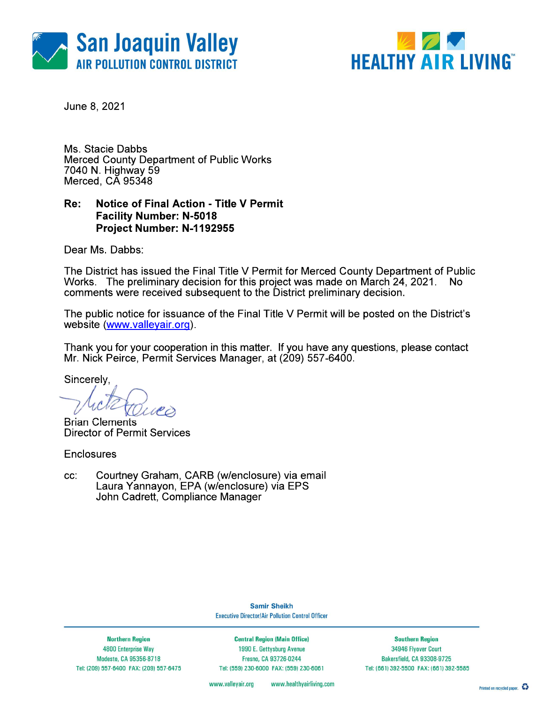



June 8, 2021

Ms. Stacie Dabbs **Merced County Department of Public Works** 7040 N. Highway 59 Merced, CA 95348

#### Re: **Notice of Final Action - Title V Permit Facility Number: N-5018** Project Number: N-1192955

Dear Ms. Dabbs:

The District has issued the Final Title V Permit for Merced County Department of Public Works. The preliminary decision for this project was made on March 24, 2021. No comments were received subsequent to the District preliminary decision.

The public notice for issuance of the Final Title V Permit will be posted on the District's website (www.valleyair.org).

Thank you for your cooperation in this matter. If you have any questions, please contact Mr. Nick Peirce, Permit Services Manager, at (209) 557-6400.

Sincerely,

**Brian Clements Director of Permit Services** 

**Enclosures** 

Courtney Graham, CARB (w/enclosure) via email CC. Laura Yannayon, EPA (w/enclosure) via EPS John Cadrett, Compliance Manager

> **Samir Sheikh Executive Director/Air Pollution Control Officer**

**Northern Region 4800 Enterprise Way** Modesto, CA 95356-8718 Tel: (209) 557-6400 FAX: (209) 557-6475

**Central Region (Main Office)** 1990 E. Gettysburg Avenue Fresno, CA 93726-0244 Tel: (559) 230-6000 FAX: (559) 230-6061

**Southern Region** 34946 Flyover Court Bakersfield, CA 93308-9725 Tel: (661) 392-5500 FAX: (661) 392-5585

www.vallevair.org www.healthyairliving.com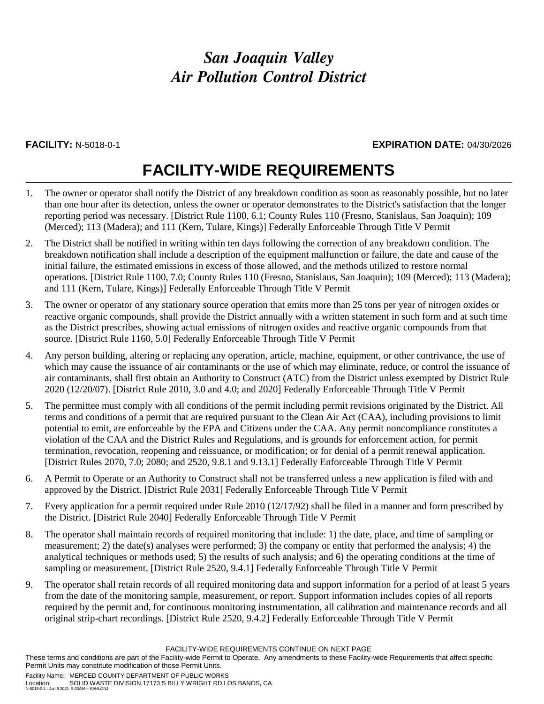# *San Joaquin Valley Air Pollution Control District*

# **FACILITY:** N-5018-0-1 **EXPIRATION DATE:** 04/30/2026

# **FACILITY-WIDE REQUIREMENTS**

- 1. The owner or operator shall notify the District of any breakdown condition as soon as reasonably possible, but no later than one hour after its detection, unless the owner or operator demonstrates to the District's satisfaction that the longer reporting period was necessary. [District Rule 1100, 6.1; County Rules 110 (Fresno, Stanislaus, San Joaquin); 109 (Merced); 113 (Madera); and 111 (Kern, Tulare, Kings)] Federally Enforceable Through Title V Permit
- 2. The District shall be notified in writing within ten days following the correction of any breakdown condition. The breakdown notification shall include a description of the equipment malfunction or failure, the date and cause of the initial failure, the estimated emissions in excess of those allowed, and the methods utilized to restore normal operations. [District Rule 1100, 7.0; County Rules 110 (Fresno, Stanislaus, San Joaquin); 109 (Merced); 113 (Madera); and 111 (Kern, Tulare, Kings)] Federally Enforceable Through Title V Permit
- 3. The owner or operator of any stationary source operation that emits more than 25 tons per year of nitrogen oxides or reactive organic compounds, shall provide the District annually with a written statement in such form and at such time as the District prescribes, showing actual emissions of nitrogen oxides and reactive organic compounds from that source. [District Rule 1160, 5.0] Federally Enforceable Through Title V Permit
- 4. Any person building, altering or replacing any operation, article, machine, equipment, or other contrivance, the use of which may cause the issuance of air contaminants or the use of which may eliminate, reduce, or control the issuance of air contaminants, shall first obtain an Authority to Construct (ATC) from the District unless exempted by District Rule 2020 (12/20/07). [District Rule 2010, 3.0 and 4.0; and 2020] Federally Enforceable Through Title V Permit
- 5. The permittee must comply with all conditions of the permit including permit revisions originated by the District. All terms and conditions of a permit that are required pursuant to the Clean Air Act (CAA), including provisions to limit potential to emit, are enforceable by the EPA and Citizens under the CAA. Any permit noncompliance constitutes a violation of the CAA and the District Rules and Regulations, and is grounds for enforcement action, for permit termination, revocation, reopening and reissuance, or modification; or for denial of a permit renewal application. [District Rules 2070, 7.0; 2080; and 2520, 9.8.1 and 9.13.1] Federally Enforceable Through Title V Permit
- 6. A Permit to Operate or an Authority to Construct shall not be transferred unless a new application is filed with and approved by the District. [District Rule 2031] Federally Enforceable Through Title V Permit
- 7. Every application for a permit required under Rule 2010 (12/17/92) shall be filed in a manner and form prescribed by the District. [District Rule 2040] Federally Enforceable Through Title V Permit
- 8. The operator shall maintain records of required monitoring that include: 1) the date, place, and time of sampling or measurement; 2) the date(s) analyses were performed; 3) the company or entity that performed the analysis; 4) the analytical techniques or methods used; 5) the results of such analysis; and 6) the operating conditions at the time of sampling or measurement. [District Rule 2520, 9.4.1] Federally Enforceable Through Title V Permit
- 9. The operator shall retain records of all required monitoring data and support information for a period of at least 5 years from the date of the monitoring sample, measurement, or report. Support information includes copies of all reports required by the permit and, for continuous monitoring instrumentation, all calibration and maintenance records and all original strip-chart recordings. [District Rule 2520, 9.4.2] Federally Enforceable Through Title V Permit

FACILITY-WIDE REQUIREMENTS CONTINUE ON NEXT PAGE

These terms and conditions are part of the Facility-wide Permit to Operate. Any amendments to these Facility-wide Requirements that affect specific Permit Units may constitute modification of those Permit Units.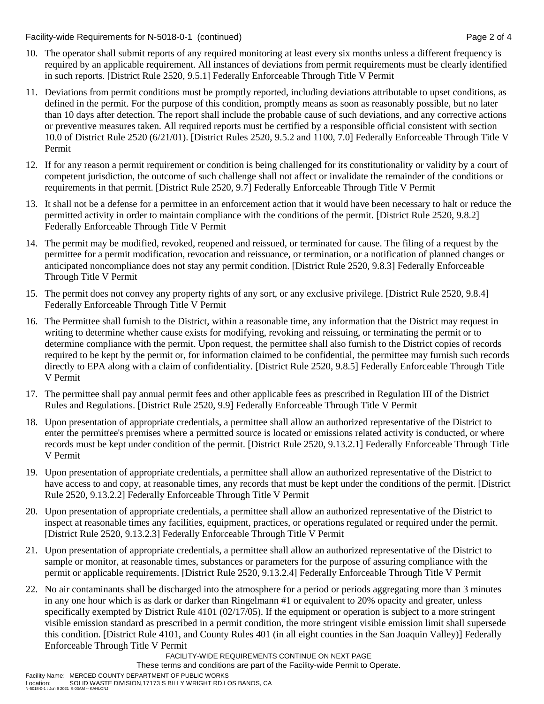Facility-wide Requirements for N-5018-0-1 (continued) Page 2 of 4

- 10. The operator shall submit reports of any required monitoring at least every six months unless a different frequency is required by an applicable requirement. All instances of deviations from permit requirements must be clearly identified in such reports. [District Rule 2520, 9.5.1] Federally Enforceable Through Title V Permit
- 11. Deviations from permit conditions must be promptly reported, including deviations attributable to upset conditions, as defined in the permit. For the purpose of this condition, promptly means as soon as reasonably possible, but no later than 10 days after detection. The report shall include the probable cause of such deviations, and any corrective actions or preventive measures taken. All required reports must be certified by a responsible official consistent with section 10.0 of District Rule 2520 (6/21/01). [District Rules 2520, 9.5.2 and 1100, 7.0] Federally Enforceable Through Title V Permit
- 12. If for any reason a permit requirement or condition is being challenged for its constitutionality or validity by a court of competent jurisdiction, the outcome of such challenge shall not affect or invalidate the remainder of the conditions or requirements in that permit. [District Rule 2520, 9.7] Federally Enforceable Through Title V Permit
- 13. It shall not be a defense for a permittee in an enforcement action that it would have been necessary to halt or reduce the permitted activity in order to maintain compliance with the conditions of the permit. [District Rule 2520, 9.8.2] Federally Enforceable Through Title V Permit
- 14. The permit may be modified, revoked, reopened and reissued, or terminated for cause. The filing of a request by the permittee for a permit modification, revocation and reissuance, or termination, or a notification of planned changes or anticipated noncompliance does not stay any permit condition. [District Rule 2520, 9.8.3] Federally Enforceable Through Title V Permit
- 15. The permit does not convey any property rights of any sort, or any exclusive privilege. [District Rule 2520, 9.8.4] Federally Enforceable Through Title V Permit
- 16. The Permittee shall furnish to the District, within a reasonable time, any information that the District may request in writing to determine whether cause exists for modifying, revoking and reissuing, or terminating the permit or to determine compliance with the permit. Upon request, the permittee shall also furnish to the District copies of records required to be kept by the permit or, for information claimed to be confidential, the permittee may furnish such records directly to EPA along with a claim of confidentiality. [District Rule 2520, 9.8.5] Federally Enforceable Through Title V Permit
- 17. The permittee shall pay annual permit fees and other applicable fees as prescribed in Regulation III of the District Rules and Regulations. [District Rule 2520, 9.9] Federally Enforceable Through Title V Permit
- 18. Upon presentation of appropriate credentials, a permittee shall allow an authorized representative of the District to enter the permittee's premises where a permitted source is located or emissions related activity is conducted, or where records must be kept under condition of the permit. [District Rule 2520, 9.13.2.1] Federally Enforceable Through Title V Permit
- 19. Upon presentation of appropriate credentials, a permittee shall allow an authorized representative of the District to have access to and copy, at reasonable times, any records that must be kept under the conditions of the permit. [District Rule 2520, 9.13.2.2] Federally Enforceable Through Title V Permit
- 20. Upon presentation of appropriate credentials, a permittee shall allow an authorized representative of the District to inspect at reasonable times any facilities, equipment, practices, or operations regulated or required under the permit. [District Rule 2520, 9.13.2.3] Federally Enforceable Through Title V Permit
- 21. Upon presentation of appropriate credentials, a permittee shall allow an authorized representative of the District to sample or monitor, at reasonable times, substances or parameters for the purpose of assuring compliance with the permit or applicable requirements. [District Rule 2520, 9.13.2.4] Federally Enforceable Through Title V Permit
- 22. No air contaminants shall be discharged into the atmosphere for a period or periods aggregating more than 3 minutes in any one hour which is as dark or darker than Ringelmann #1 or equivalent to 20% opacity and greater, unless specifically exempted by District Rule 4101 (02/17/05). If the equipment or operation is subject to a more stringent visible emission standard as prescribed in a permit condition, the more stringent visible emission limit shall supersede this condition. [District Rule 4101, and County Rules 401 (in all eight counties in the San Joaquin Valley)] Federally Enforceable Through Title V Permit

FACILITY-WIDE REQUIREMENTS CONTINUE ON NEXT PAGE

These terms and conditions are part of the Facility-wide Permit to Operate.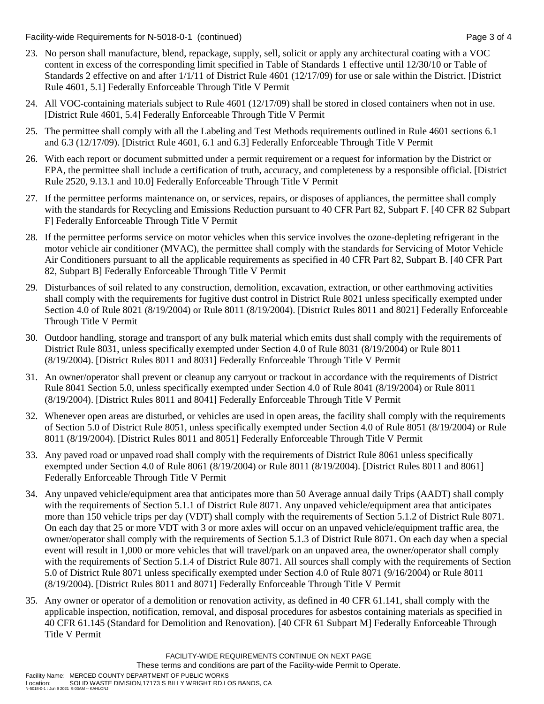Facility-wide Requirements for N-5018-0-1 (continued) Page 3 of 4

- 23. No person shall manufacture, blend, repackage, supply, sell, solicit or apply any architectural coating with a VOC content in excess of the corresponding limit specified in Table of Standards 1 effective until 12/30/10 or Table of Standards 2 effective on and after 1/1/11 of District Rule 4601 (12/17/09) for use or sale within the District. [District Rule 4601, 5.1] Federally Enforceable Through Title V Permit
- 24. All VOC-containing materials subject to Rule 4601 (12/17/09) shall be stored in closed containers when not in use. [District Rule 4601, 5.4] Federally Enforceable Through Title V Permit
- 25. The permittee shall comply with all the Labeling and Test Methods requirements outlined in Rule 4601 sections 6.1 and 6.3 (12/17/09). [District Rule 4601, 6.1 and 6.3] Federally Enforceable Through Title V Permit
- 26. With each report or document submitted under a permit requirement or a request for information by the District or EPA, the permittee shall include a certification of truth, accuracy, and completeness by a responsible official. [District Rule 2520, 9.13.1 and 10.0] Federally Enforceable Through Title V Permit
- 27. If the permittee performs maintenance on, or services, repairs, or disposes of appliances, the permittee shall comply with the standards for Recycling and Emissions Reduction pursuant to 40 CFR Part 82, Subpart F. [40 CFR 82 Subpart F] Federally Enforceable Through Title V Permit
- 28. If the permittee performs service on motor vehicles when this service involves the ozone-depleting refrigerant in the motor vehicle air conditioner (MVAC), the permittee shall comply with the standards for Servicing of Motor Vehicle Air Conditioners pursuant to all the applicable requirements as specified in 40 CFR Part 82, Subpart B. [40 CFR Part 82, Subpart B] Federally Enforceable Through Title V Permit
- 29. Disturbances of soil related to any construction, demolition, excavation, extraction, or other earthmoving activities shall comply with the requirements for fugitive dust control in District Rule 8021 unless specifically exempted under Section 4.0 of Rule 8021 (8/19/2004) or Rule 8011 (8/19/2004). [District Rules 8011 and 8021] Federally Enforceable Through Title V Permit
- 30. Outdoor handling, storage and transport of any bulk material which emits dust shall comply with the requirements of District Rule 8031, unless specifically exempted under Section 4.0 of Rule 8031 (8/19/2004) or Rule 8011 (8/19/2004). [District Rules 8011 and 8031] Federally Enforceable Through Title V Permit
- 31. An owner/operator shall prevent or cleanup any carryout or trackout in accordance with the requirements of District Rule 8041 Section 5.0, unless specifically exempted under Section 4.0 of Rule 8041 (8/19/2004) or Rule 8011 (8/19/2004). [District Rules 8011 and 8041] Federally Enforceable Through Title V Permit
- 32. Whenever open areas are disturbed, or vehicles are used in open areas, the facility shall comply with the requirements of Section 5.0 of District Rule 8051, unless specifically exempted under Section 4.0 of Rule 8051 (8/19/2004) or Rule 8011 (8/19/2004). [District Rules 8011 and 8051] Federally Enforceable Through Title V Permit
- 33. Any paved road or unpaved road shall comply with the requirements of District Rule 8061 unless specifically exempted under Section 4.0 of Rule 8061 (8/19/2004) or Rule 8011 (8/19/2004). [District Rules 8011 and 8061] Federally Enforceable Through Title V Permit
- 34. Any unpaved vehicle/equipment area that anticipates more than 50 Average annual daily Trips (AADT) shall comply with the requirements of Section 5.1.1 of District Rule 8071. Any unpaved vehicle/equipment area that anticipates more than 150 vehicle trips per day (VDT) shall comply with the requirements of Section 5.1.2 of District Rule 8071. On each day that 25 or more VDT with 3 or more axles will occur on an unpaved vehicle/equipment traffic area, the owner/operator shall comply with the requirements of Section 5.1.3 of District Rule 8071. On each day when a special event will result in 1,000 or more vehicles that will travel/park on an unpaved area, the owner/operator shall comply with the requirements of Section 5.1.4 of District Rule 8071. All sources shall comply with the requirements of Section 5.0 of District Rule 8071 unless specifically exempted under Section 4.0 of Rule 8071 (9/16/2004) or Rule 8011 (8/19/2004). [District Rules 8011 and 8071] Federally Enforceable Through Title V Permit
- 35. Any owner or operator of a demolition or renovation activity, as defined in 40 CFR 61.141, shall comply with the applicable inspection, notification, removal, and disposal procedures for asbestos containing materials as specified in 40 CFR 61.145 (Standard for Demolition and Renovation). [40 CFR 61 Subpart M] Federally Enforceable Through Title V Permit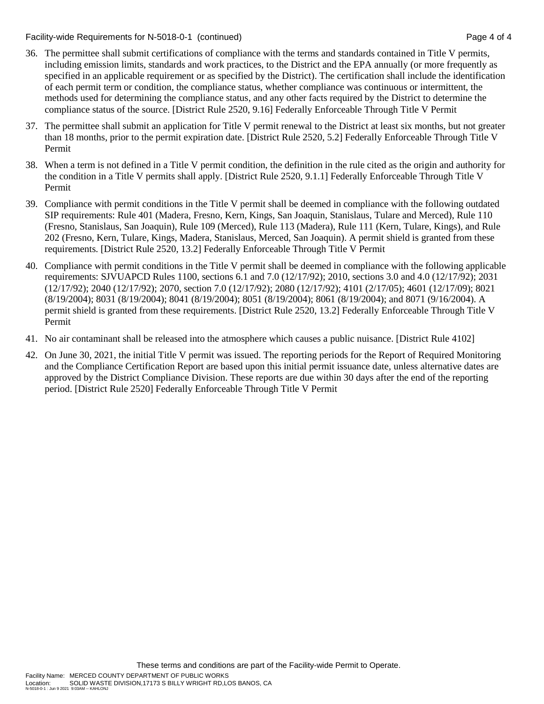Facility-wide Requirements for N-5018-0-1 (continued) Page 4 of 4

- 36. The permittee shall submit certifications of compliance with the terms and standards contained in Title V permits, including emission limits, standards and work practices, to the District and the EPA annually (or more frequently as specified in an applicable requirement or as specified by the District). The certification shall include the identification of each permit term or condition, the compliance status, whether compliance was continuous or intermittent, the methods used for determining the compliance status, and any other facts required by the District to determine the compliance status of the source. [District Rule 2520, 9.16] Federally Enforceable Through Title V Permit
- 37. The permittee shall submit an application for Title V permit renewal to the District at least six months, but not greater than 18 months, prior to the permit expiration date. [District Rule 2520, 5.2] Federally Enforceable Through Title V Permit
- 38. When a term is not defined in a Title V permit condition, the definition in the rule cited as the origin and authority for the condition in a Title V permits shall apply. [District Rule 2520, 9.1.1] Federally Enforceable Through Title V Permit
- 39. Compliance with permit conditions in the Title V permit shall be deemed in compliance with the following outdated SIP requirements: Rule 401 (Madera, Fresno, Kern, Kings, San Joaquin, Stanislaus, Tulare and Merced), Rule 110 (Fresno, Stanislaus, San Joaquin), Rule 109 (Merced), Rule 113 (Madera), Rule 111 (Kern, Tulare, Kings), and Rule 202 (Fresno, Kern, Tulare, Kings, Madera, Stanislaus, Merced, San Joaquin). A permit shield is granted from these requirements. [District Rule 2520, 13.2] Federally Enforceable Through Title V Permit
- 40. Compliance with permit conditions in the Title V permit shall be deemed in compliance with the following applicable requirements: SJVUAPCD Rules 1100, sections 6.1 and 7.0 (12/17/92); 2010, sections 3.0 and 4.0 (12/17/92); 2031 (12/17/92); 2040 (12/17/92); 2070, section 7.0 (12/17/92); 2080 (12/17/92); 4101 (2/17/05); 4601 (12/17/09); 8021 (8/19/2004); 8031 (8/19/2004); 8041 (8/19/2004); 8051 (8/19/2004); 8061 (8/19/2004); and 8071 (9/16/2004). A permit shield is granted from these requirements. [District Rule 2520, 13.2] Federally Enforceable Through Title V Permit
- 41. No air contaminant shall be released into the atmosphere which causes a public nuisance. [District Rule 4102]
- 42. On June 30, 2021, the initial Title V permit was issued. The reporting periods for the Report of Required Monitoring and the Compliance Certification Report are based upon this initial permit issuance date, unless alternative dates are approved by the District Compliance Division. These reports are due within 30 days after the end of the reporting period. [District Rule 2520] Federally Enforceable Through Title V Permit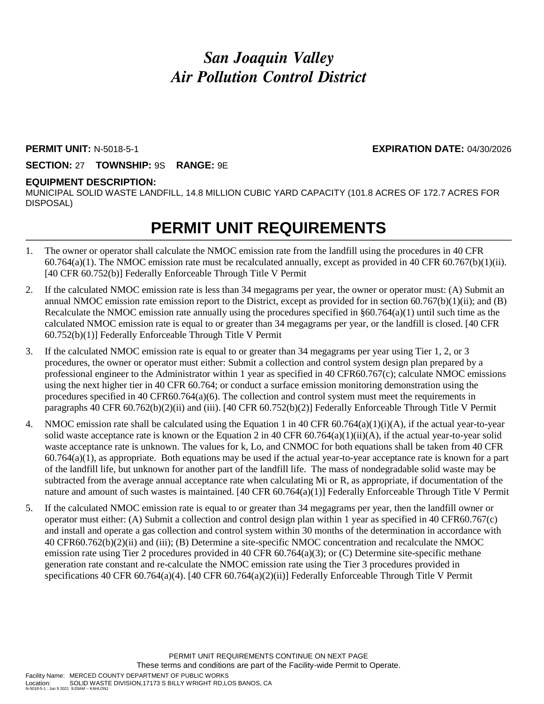# *San Joaquin Valley Air Pollution Control District*

### **PERMIT UNIT:** N-5018-5-1 **EXPIRATION DATE:** 04/30/2026

## **SECTION:** 27 **TOWNSHIP:** 9S **RANGE:** 9E

### **EQUIPMENT DESCRIPTION:**

MUNICIPAL SOLID WASTE LANDFILL, 14.8 MILLION CUBIC YARD CAPACITY (101.8 ACRES OF 172.7 ACRES FOR DISPOSAL)

# **PERMIT UNIT REQUIREMENTS**

- 1. The owner or operator shall calculate the NMOC emission rate from the landfill using the procedures in 40 CFR  $60.764(a)(1)$ . The NMOC emission rate must be recalculated annually, except as provided in 40 CFR  $60.767(b)(1)(ii)$ . [40 CFR 60.752(b)] Federally Enforceable Through Title V Permit
- 2. If the calculated NMOC emission rate is less than 34 megagrams per year, the owner or operator must: (A) Submit an annual NMOC emission rate emission report to the District, except as provided for in section  $60.767(b)(1)(ii)$ ; and  $(B)$ Recalculate the NMOC emission rate annually using the procedures specified in  $\S60.764(a)(1)$  until such time as the calculated NMOC emission rate is equal to or greater than 34 megagrams per year, or the landfill is closed. [40 CFR 60.752(b)(1)] Federally Enforceable Through Title V Permit
- 3. If the calculated NMOC emission rate is equal to or greater than 34 megagrams per year using Tier 1, 2, or 3 procedures, the owner or operator must either: Submit a collection and control system design plan prepared by a professional engineer to the Administrator within 1 year as specified in 40 CFR60.767(c); calculate NMOC emissions using the next higher tier in 40 CFR 60.764; or conduct a surface emission monitoring demonstration using the procedures specified in 40 CFR60.764(a)(6). The collection and control system must meet the requirements in paragraphs 40 CFR 60.762(b)(2)(ii) and (iii). [40 CFR 60.752(b)(2)] Federally Enforceable Through Title V Permit
- 4. NMOC emission rate shall be calculated using the Equation 1 in 40 CFR  $60.764(a)(1)(i)(A)$ , if the actual year-to-year solid waste acceptance rate is known or the Equation 2 in 40 CFR 60.764(a)(1)(ii)(A), if the actual year-to-year solid waste acceptance rate is unknown. The values for k, Lo, and CNMOC for both equations shall be taken from 40 CFR  $60.764(a)(1)$ , as appropriate. Both equations may be used if the actual year-to-year acceptance rate is known for a part of the landfill life, but unknown for another part of the landfill life. The mass of nondegradable solid waste may be subtracted from the average annual acceptance rate when calculating Mi or R, as appropriate, if documentation of the nature and amount of such wastes is maintained. [40 CFR 60.764(a)(1)] Federally Enforceable Through Title V Permit
- 5. If the calculated NMOC emission rate is equal to or greater than 34 megagrams per year, then the landfill owner or operator must either: (A) Submit a collection and control design plan within 1 year as specified in 40 CFR60.767(c) and install and operate a gas collection and control system within 30 months of the determination in accordance with 40 CFR60.762(b)(2)(ii) and (iii); (B) Determine a site-specific NMOC concentration and recalculate the NMOC emission rate using Tier 2 procedures provided in 40 CFR  $60.764(a)(3)$ ; or (C) Determine site-specific methane generation rate constant and re-calculate the NMOC emission rate using the Tier 3 procedures provided in specifications 40 CFR 60.764(a)(4). [40 CFR 60.764(a)(2)(ii)] Federally Enforceable Through Title V Permit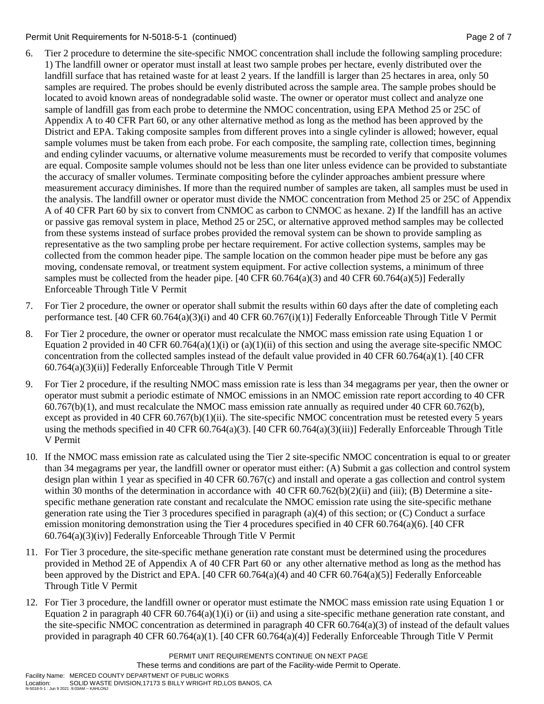### Permit Unit Requirements for N-5018-5-1 (continued) **Page 2** of 7

- 6. Tier 2 procedure to determine the site-specific NMOC concentration shall include the following sampling procedure: 1) The landfill owner or operator must install at least two sample probes per hectare, evenly distributed over the landfill surface that has retained waste for at least 2 years. If the landfill is larger than 25 hectares in area, only 50 samples are required. The probes should be evenly distributed across the sample area. The sample probes should be located to avoid known areas of nondegradable solid waste. The owner or operator must collect and analyze one sample of landfill gas from each probe to determine the NMOC concentration, using EPA Method 25 or 25C of Appendix A to 40 CFR Part 60, or any other alternative method as long as the method has been approved by the District and EPA. Taking composite samples from different proves into a single cylinder is allowed; however, equal sample volumes must be taken from each probe. For each composite, the sampling rate, collection times, beginning and ending cylinder vacuums, or alternative volume measurements must be recorded to verify that composite volumes are equal. Composite sample volumes should not be less than one liter unless evidence can be provided to substantiate the accuracy of smaller volumes. Terminate compositing before the cylinder approaches ambient pressure where measurement accuracy diminishes. If more than the required number of samples are taken, all samples must be used in the analysis. The landfill owner or operator must divide the NMOC concentration from Method 25 or 25C of Appendix A of 40 CFR Part 60 by six to convert from CNMOC as carbon to CNMOC as hexane. 2) If the landfill has an active or passive gas removal system in place, Method 25 or 25C, or alternative approved method samples may be collected from these systems instead of surface probes provided the removal system can be shown to provide sampling as representative as the two sampling probe per hectare requirement. For active collection systems, samples may be collected from the common header pipe. The sample location on the common header pipe must be before any gas moving, condensate removal, or treatment system equipment. For active collection systems, a minimum of three samples must be collected from the header pipe. [40 CFR 60.764(a)(3) and 40 CFR 60.764(a)(5)] Federally Enforceable Through Title V Permit
- 7. For Tier 2 procedure, the owner or operator shall submit the results within 60 days after the date of completing each performance test. [40 CFR 60.764(a)(3)(i) and 40 CFR 60.767(i)(1)] Federally Enforceable Through Title V Permit
- 8. For Tier 2 procedure, the owner or operator must recalculate the NMOC mass emission rate using Equation 1 or Equation 2 provided in 40 CFR 60.764(a)(1)(i) or (a)(1)(ii) of this section and using the average site-specific NMOC concentration from the collected samples instead of the default value provided in 40 CFR 60.764(a)(1). [40 CFR 60.764(a)(3)(ii)] Federally Enforceable Through Title V Permit
- 9. For Tier 2 procedure, if the resulting NMOC mass emission rate is less than 34 megagrams per year, then the owner or operator must submit a periodic estimate of NMOC emissions in an NMOC emission rate report according to 40 CFR 60.767(b)(1), and must recalculate the NMOC mass emission rate annually as required under 40 CFR 60.762(b), except as provided in 40 CFR 60.767(b)(1)(ii). The site-specific NMOC concentration must be retested every 5 years using the methods specified in 40 CFR 60.764(a)(3). [40 CFR 60.764(a)(3)(iii)] Federally Enforceable Through Title V Permit
- 10. If the NMOC mass emission rate as calculated using the Tier 2 site-specific NMOC concentration is equal to or greater than 34 megagrams per year, the landfill owner or operator must either: (A) Submit a gas collection and control system design plan within 1 year as specified in 40 CFR 60.767(c) and install and operate a gas collection and control system within 30 months of the determination in accordance with 40 CFR  $60.762(b)(2)(ii)$  and (iii); (B) Determine a sitespecific methane generation rate constant and recalculate the NMOC emission rate using the site-specific methane generation rate using the Tier 3 procedures specified in paragraph (a)(4) of this section; or (C) Conduct a surface emission monitoring demonstration using the Tier 4 procedures specified in 40 CFR 60.764(a)(6). [40 CFR 60.764(a)(3)(iv)] Federally Enforceable Through Title V Permit
- 11. For Tier 3 procedure, the site-specific methane generation rate constant must be determined using the procedures provided in Method 2E of Appendix A of 40 CFR Part 60 or any other alternative method as long as the method has been approved by the District and EPA. [40 CFR 60.764(a)(4) and 40 CFR 60.764(a)(5)] Federally Enforceable Through Title V Permit
- 12. For Tier 3 procedure, the landfill owner or operator must estimate the NMOC mass emission rate using Equation 1 or Equation 2 in paragraph 40 CFR  $60.764(a)(1)(i)$  or (ii) and using a site-specific methane generation rate constant, and the site-specific NMOC concentration as determined in paragraph 40 CFR  $60.764(a)(3)$  of instead of the default values provided in paragraph 40 CFR 60.764(a)(1). [40 CFR 60.764(a)(4)] Federally Enforceable Through Title V Permit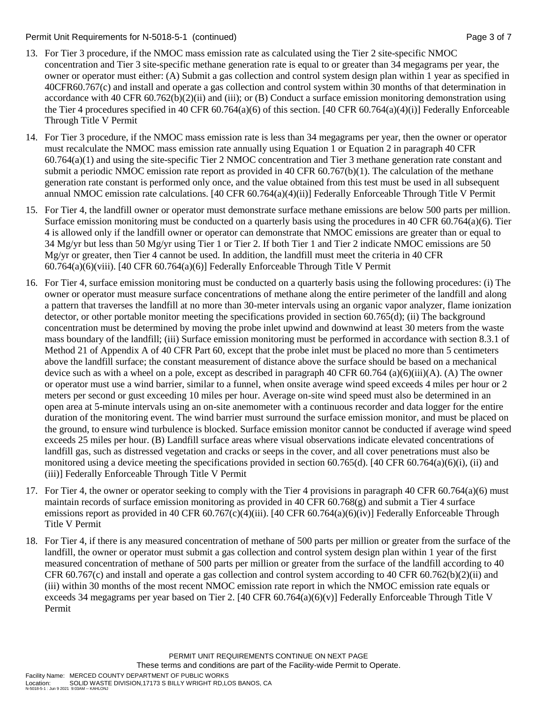### Permit Unit Requirements for N-5018-5-1 (continued) Page 3 of 7

- 13. For Tier 3 procedure, if the NMOC mass emission rate as calculated using the Tier 2 site-specific NMOC concentration and Tier 3 site-specific methane generation rate is equal to or greater than 34 megagrams per year, the owner or operator must either: (A) Submit a gas collection and control system design plan within 1 year as specified in 40CFR60.767(c) and install and operate a gas collection and control system within 30 months of that determination in accordance with 40 CFR  $60.762(b)(2)(ii)$  and (iii); or (B) Conduct a surface emission monitoring demonstration using the Tier 4 procedures specified in 40 CFR 60.764(a)(6) of this section. [40 CFR 60.764(a)(4)(i)] Federally Enforceable Through Title V Permit
- 14. For Tier 3 procedure, if the NMOC mass emission rate is less than 34 megagrams per year, then the owner or operator must recalculate the NMOC mass emission rate annually using Equation 1 or Equation 2 in paragraph 40 CFR 60.764(a)(1) and using the site-specific Tier 2 NMOC concentration and Tier 3 methane generation rate constant and submit a periodic NMOC emission rate report as provided in 40 CFR 60.767(b)(1). The calculation of the methane generation rate constant is performed only once, and the value obtained from this test must be used in all subsequent annual NMOC emission rate calculations. [40 CFR 60.764(a)(4)(ii)] Federally Enforceable Through Title V Permit
- 15. For Tier 4, the landfill owner or operator must demonstrate surface methane emissions are below 500 parts per million. Surface emission monitoring must be conducted on a quarterly basis using the procedures in 40 CFR 60.764(a)(6). Tier 4 is allowed only if the landfill owner or operator can demonstrate that NMOC emissions are greater than or equal to 34 Mg/yr but less than 50 Mg/yr using Tier 1 or Tier 2. If both Tier 1 and Tier 2 indicate NMOC emissions are 50 Mg/yr or greater, then Tier 4 cannot be used. In addition, the landfill must meet the criteria in 40 CFR  $60.764(a)(6)(viii)$ . [40 CFR  $60.764(a)(6)$ ] Federally Enforceable Through Title V Permit
- 16. For Tier 4, surface emission monitoring must be conducted on a quarterly basis using the following procedures: (i) The owner or operator must measure surface concentrations of methane along the entire perimeter of the landfill and along a pattern that traverses the landfill at no more than 30-meter intervals using an organic vapor analyzer, flame ionization detector, or other portable monitor meeting the specifications provided in section 60.765(d); (ii) The background concentration must be determined by moving the probe inlet upwind and downwind at least 30 meters from the waste mass boundary of the landfill; (iii) Surface emission monitoring must be performed in accordance with section 8.3.1 of Method 21 of Appendix A of 40 CFR Part 60, except that the probe inlet must be placed no more than 5 centimeters above the landfill surface; the constant measurement of distance above the surface should be based on a mechanical device such as with a wheel on a pole, except as described in paragraph 40 CFR 60.764 (a)(6)(iii)(A). (A) The owner or operator must use a wind barrier, similar to a funnel, when onsite average wind speed exceeds 4 miles per hour or 2 meters per second or gust exceeding 10 miles per hour. Average on-site wind speed must also be determined in an open area at 5-minute intervals using an on-site anemometer with a continuous recorder and data logger for the entire duration of the monitoring event. The wind barrier must surround the surface emission monitor, and must be placed on the ground, to ensure wind turbulence is blocked. Surface emission monitor cannot be conducted if average wind speed exceeds 25 miles per hour. (B) Landfill surface areas where visual observations indicate elevated concentrations of landfill gas, such as distressed vegetation and cracks or seeps in the cover, and all cover penetrations must also be monitored using a device meeting the specifications provided in section 60.765(d). [40 CFR 60.764(a)(6)(i), (ii) and (iii)] Federally Enforceable Through Title V Permit
- 17. For Tier 4, the owner or operator seeking to comply with the Tier 4 provisions in paragraph 40 CFR 60.764(a)(6) must maintain records of surface emission monitoring as provided in 40 CFR 60.768(g) and submit a Tier 4 surface emissions report as provided in 40 CFR 60.767(c)(4)(iii). [40 CFR 60.764(a)(6)(iv)] Federally Enforceable Through Title V Permit
- 18. For Tier 4, if there is any measured concentration of methane of 500 parts per million or greater from the surface of the landfill, the owner or operator must submit a gas collection and control system design plan within 1 year of the first measured concentration of methane of 500 parts per million or greater from the surface of the landfill according to 40 CFR 60.767(c) and install and operate a gas collection and control system according to 40 CFR 60.762(b)(2)(ii) and (iii) within 30 months of the most recent NMOC emission rate report in which the NMOC emission rate equals or exceeds 34 megagrams per year based on Tier 2. [40 CFR 60.764(a)(6)(v)] Federally Enforceable Through Title V Permit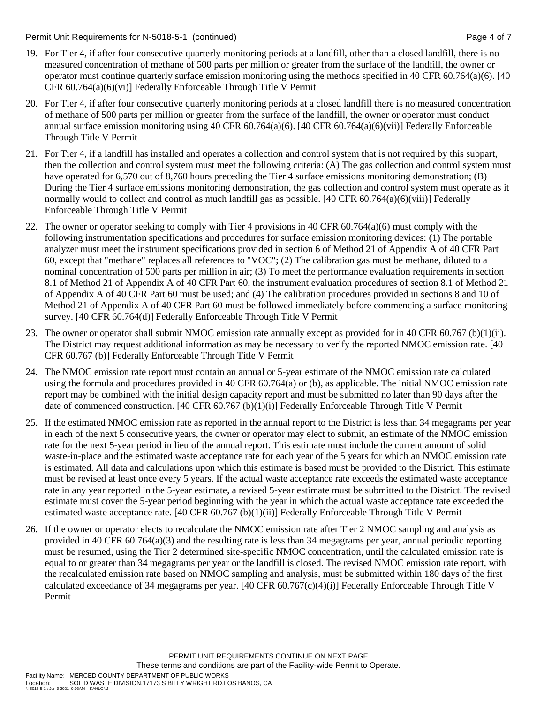Permit Unit Requirements for N-5018-5-1 (continued) Page 4 of 7

- 19. For Tier 4, if after four consecutive quarterly monitoring periods at a landfill, other than a closed landfill, there is no measured concentration of methane of 500 parts per million or greater from the surface of the landfill, the owner or operator must continue quarterly surface emission monitoring using the methods specified in 40 CFR 60.764(a)(6). [40 CFR 60.764(a)(6)(vi)] Federally Enforceable Through Title V Permit
- 20. For Tier 4, if after four consecutive quarterly monitoring periods at a closed landfill there is no measured concentration of methane of 500 parts per million or greater from the surface of the landfill, the owner or operator must conduct annual surface emission monitoring using 40 CFR 60.764(a)(6). [40 CFR 60.764(a)(6)(vii)] Federally Enforceable Through Title V Permit
- 21. For Tier 4, if a landfill has installed and operates a collection and control system that is not required by this subpart, then the collection and control system must meet the following criteria: (A) The gas collection and control system must have operated for 6,570 out of 8,760 hours preceding the Tier 4 surface emissions monitoring demonstration; (B) During the Tier 4 surface emissions monitoring demonstration, the gas collection and control system must operate as it normally would to collect and control as much landfill gas as possible. [40 CFR 60.764(a)(6)(viii)] Federally Enforceable Through Title V Permit
- 22. The owner or operator seeking to comply with Tier 4 provisions in 40 CFR 60.764(a)(6) must comply with the following instrumentation specifications and procedures for surface emission monitoring devices: (1) The portable analyzer must meet the instrument specifications provided in section 6 of Method 21 of Appendix A of 40 CFR Part 60, except that "methane" replaces all references to "VOC"; (2) The calibration gas must be methane, diluted to a nominal concentration of 500 parts per million in air; (3) To meet the performance evaluation requirements in section 8.1 of Method 21 of Appendix A of 40 CFR Part 60, the instrument evaluation procedures of section 8.1 of Method 21 of Appendix A of 40 CFR Part 60 must be used; and (4) The calibration procedures provided in sections 8 and 10 of Method 21 of Appendix A of 40 CFR Part 60 must be followed immediately before commencing a surface monitoring survey. [40 CFR 60.764(d)] Federally Enforceable Through Title V Permit
- 23. The owner or operator shall submit NMOC emission rate annually except as provided for in 40 CFR 60.767 (b)(1)(ii). The District may request additional information as may be necessary to verify the reported NMOC emission rate. [40 CFR 60.767 (b)] Federally Enforceable Through Title V Permit
- 24. The NMOC emission rate report must contain an annual or 5-year estimate of the NMOC emission rate calculated using the formula and procedures provided in 40 CFR 60.764(a) or (b), as applicable. The initial NMOC emission rate report may be combined with the initial design capacity report and must be submitted no later than 90 days after the date of commenced construction. [40 CFR 60.767 (b)(1)(i)] Federally Enforceable Through Title V Permit
- 25. If the estimated NMOC emission rate as reported in the annual report to the District is less than 34 megagrams per year in each of the next 5 consecutive years, the owner or operator may elect to submit, an estimate of the NMOC emission rate for the next 5-year period in lieu of the annual report. This estimate must include the current amount of solid waste-in-place and the estimated waste acceptance rate for each year of the 5 years for which an NMOC emission rate is estimated. All data and calculations upon which this estimate is based must be provided to the District. This estimate must be revised at least once every 5 years. If the actual waste acceptance rate exceeds the estimated waste acceptance rate in any year reported in the 5-year estimate, a revised 5-year estimate must be submitted to the District. The revised estimate must cover the 5-year period beginning with the year in which the actual waste acceptance rate exceeded the estimated waste acceptance rate. [40 CFR 60.767 (b)(1)(ii)] Federally Enforceable Through Title V Permit
- 26. If the owner or operator elects to recalculate the NMOC emission rate after Tier 2 NMOC sampling and analysis as provided in 40 CFR 60.764(a)(3) and the resulting rate is less than 34 megagrams per year, annual periodic reporting must be resumed, using the Tier 2 determined site-specific NMOC concentration, until the calculated emission rate is equal to or greater than 34 megagrams per year or the landfill is closed. The revised NMOC emission rate report, with the recalculated emission rate based on NMOC sampling and analysis, must be submitted within 180 days of the first calculated exceedance of 34 megagrams per year. [40 CFR 60.767(c)(4)(i)] Federally Enforceable Through Title V Permit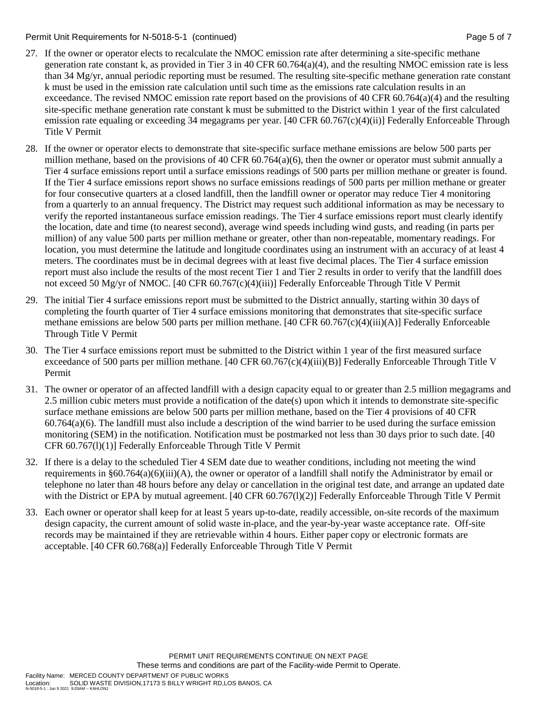Permit Unit Requirements for N-5018-5-1 (continued) Page 5 of 7

- 27. If the owner or operator elects to recalculate the NMOC emission rate after determining a site-specific methane generation rate constant k, as provided in Tier 3 in 40 CFR  $60.764(a)(4)$ , and the resulting NMOC emission rate is less than 34 Mg/yr, annual periodic reporting must be resumed. The resulting site-specific methane generation rate constant k must be used in the emission rate calculation until such time as the emissions rate calculation results in an exceedance. The revised NMOC emission rate report based on the provisions of 40 CFR  $60.764(a)(4)$  and the resulting site-specific methane generation rate constant k must be submitted to the District within 1 year of the first calculated emission rate equaling or exceeding 34 megagrams per year. [40 CFR 60.767(c)(4)(ii)] Federally Enforceable Through Title V Permit
- 28. If the owner or operator elects to demonstrate that site-specific surface methane emissions are below 500 parts per million methane, based on the provisions of 40 CFR  $60.764(a)(6)$ , then the owner or operator must submit annually a Tier 4 surface emissions report until a surface emissions readings of 500 parts per million methane or greater is found. If the Tier 4 surface emissions report shows no surface emissions readings of 500 parts per million methane or greater for four consecutive quarters at a closed landfill, then the landfill owner or operator may reduce Tier 4 monitoring from a quarterly to an annual frequency. The District may request such additional information as may be necessary to verify the reported instantaneous surface emission readings. The Tier 4 surface emissions report must clearly identify the location, date and time (to nearest second), average wind speeds including wind gusts, and reading (in parts per million) of any value 500 parts per million methane or greater, other than non-repeatable, momentary readings. For location, you must determine the latitude and longitude coordinates using an instrument with an accuracy of at least 4 meters. The coordinates must be in decimal degrees with at least five decimal places. The Tier 4 surface emission report must also include the results of the most recent Tier 1 and Tier 2 results in order to verify that the landfill does not exceed 50 Mg/yr of NMOC. [40 CFR 60.767(c)(4)(iii)] Federally Enforceable Through Title V Permit
- 29. The initial Tier 4 surface emissions report must be submitted to the District annually, starting within 30 days of completing the fourth quarter of Tier 4 surface emissions monitoring that demonstrates that site-specific surface methane emissions are below 500 parts per million methane. [40 CFR 60.767(c)(4)(iii)(A)] Federally Enforceable Through Title V Permit
- 30. The Tier 4 surface emissions report must be submitted to the District within 1 year of the first measured surface exceedance of 500 parts per million methane. [40 CFR 60.767(c)(4)(iii)(B)] Federally Enforceable Through Title V Permit
- 31. The owner or operator of an affected landfill with a design capacity equal to or greater than 2.5 million megagrams and 2.5 million cubic meters must provide a notification of the date(s) upon which it intends to demonstrate site-specific surface methane emissions are below 500 parts per million methane, based on the Tier 4 provisions of 40 CFR  $60.764(a)(6)$ . The landfill must also include a description of the wind barrier to be used during the surface emission monitoring (SEM) in the notification. Notification must be postmarked not less than 30 days prior to such date. [40 CFR 60.767(l)(1)] Federally Enforceable Through Title V Permit
- 32. If there is a delay to the scheduled Tier 4 SEM date due to weather conditions, including not meeting the wind requirements in §60.764(a)(6)(iii)(A), the owner or operator of a landfill shall notify the Administrator by email or telephone no later than 48 hours before any delay or cancellation in the original test date, and arrange an updated date with the District or EPA by mutual agreement. [40 CFR 60.767(1)(2)] Federally Enforceable Through Title V Permit
- 33. Each owner or operator shall keep for at least 5 years up-to-date, readily accessible, on-site records of the maximum design capacity, the current amount of solid waste in-place, and the year-by-year waste acceptance rate. Off-site records may be maintained if they are retrievable within 4 hours. Either paper copy or electronic formats are acceptable. [40 CFR 60.768(a)] Federally Enforceable Through Title V Permit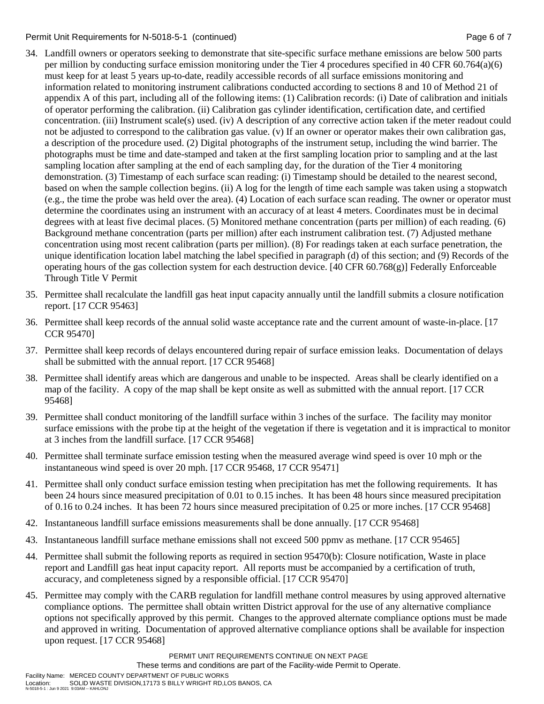### Permit Unit Requirements for N-5018-5-1 (continued) **Page 6 and 7** Page 6 of 7

- 34. Landfill owners or operators seeking to demonstrate that site-specific surface methane emissions are below 500 parts per million by conducting surface emission monitoring under the Tier 4 procedures specified in 40 CFR 60.764(a)(6) must keep for at least 5 years up-to-date, readily accessible records of all surface emissions monitoring and information related to monitoring instrument calibrations conducted according to sections 8 and 10 of Method 21 of appendix A of this part, including all of the following items: (1) Calibration records: (i) Date of calibration and initials of operator performing the calibration. (ii) Calibration gas cylinder identification, certification date, and certified concentration. (iii) Instrument scale(s) used. (iv) A description of any corrective action taken if the meter readout could not be adjusted to correspond to the calibration gas value. (v) If an owner or operator makes their own calibration gas, a description of the procedure used. (2) Digital photographs of the instrument setup, including the wind barrier. The photographs must be time and date-stamped and taken at the first sampling location prior to sampling and at the last sampling location after sampling at the end of each sampling day, for the duration of the Tier 4 monitoring demonstration. (3) Timestamp of each surface scan reading: (i) Timestamp should be detailed to the nearest second, based on when the sample collection begins. (ii) A log for the length of time each sample was taken using a stopwatch (e.g., the time the probe was held over the area). (4) Location of each surface scan reading. The owner or operator must determine the coordinates using an instrument with an accuracy of at least 4 meters. Coordinates must be in decimal degrees with at least five decimal places. (5) Monitored methane concentration (parts per million) of each reading. (6) Background methane concentration (parts per million) after each instrument calibration test. (7) Adjusted methane concentration using most recent calibration (parts per million). (8) For readings taken at each surface penetration, the unique identification location label matching the label specified in paragraph (d) of this section; and (9) Records of the operating hours of the gas collection system for each destruction device. [40 CFR 60.768(g)] Federally Enforceable Through Title V Permit
- 35. Permittee shall recalculate the landfill gas heat input capacity annually until the landfill submits a closure notification report. [17 CCR 95463]
- 36. Permittee shall keep records of the annual solid waste acceptance rate and the current amount of waste-in-place. [17 CCR 95470]
- 37. Permittee shall keep records of delays encountered during repair of surface emission leaks. Documentation of delays shall be submitted with the annual report. [17 CCR 95468]
- 38. Permittee shall identify areas which are dangerous and unable to be inspected. Areas shall be clearly identified on a map of the facility. A copy of the map shall be kept onsite as well as submitted with the annual report. [17 CCR 95468]
- 39. Permittee shall conduct monitoring of the landfill surface within 3 inches of the surface. The facility may monitor surface emissions with the probe tip at the height of the vegetation if there is vegetation and it is impractical to monitor at 3 inches from the landfill surface. [17 CCR 95468]
- 40. Permittee shall terminate surface emission testing when the measured average wind speed is over 10 mph or the instantaneous wind speed is over 20 mph. [17 CCR 95468, 17 CCR 95471]
- 41. Permittee shall only conduct surface emission testing when precipitation has met the following requirements. It has been 24 hours since measured precipitation of 0.01 to 0.15 inches. It has been 48 hours since measured precipitation of 0.16 to 0.24 inches. It has been 72 hours since measured precipitation of 0.25 or more inches. [17 CCR 95468]
- 42. Instantaneous landfill surface emissions measurements shall be done annually. [17 CCR 95468]
- 43. Instantaneous landfill surface methane emissions shall not exceed 500 ppmv as methane. [17 CCR 95465]
- 44. Permittee shall submit the following reports as required in section 95470(b): Closure notification, Waste in place report and Landfill gas heat input capacity report. All reports must be accompanied by a certification of truth, accuracy, and completeness signed by a responsible official. [17 CCR 95470]
- 45. Permittee may comply with the CARB regulation for landfill methane control measures by using approved alternative compliance options. The permittee shall obtain written District approval for the use of any alternative compliance options not specifically approved by this permit. Changes to the approved alternate compliance options must be made and approved in writing. Documentation of approved alternative compliance options shall be available for inspection upon request. [17 CCR 95468]

These terms and conditions are part of the Facility-wide Permit to Operate.